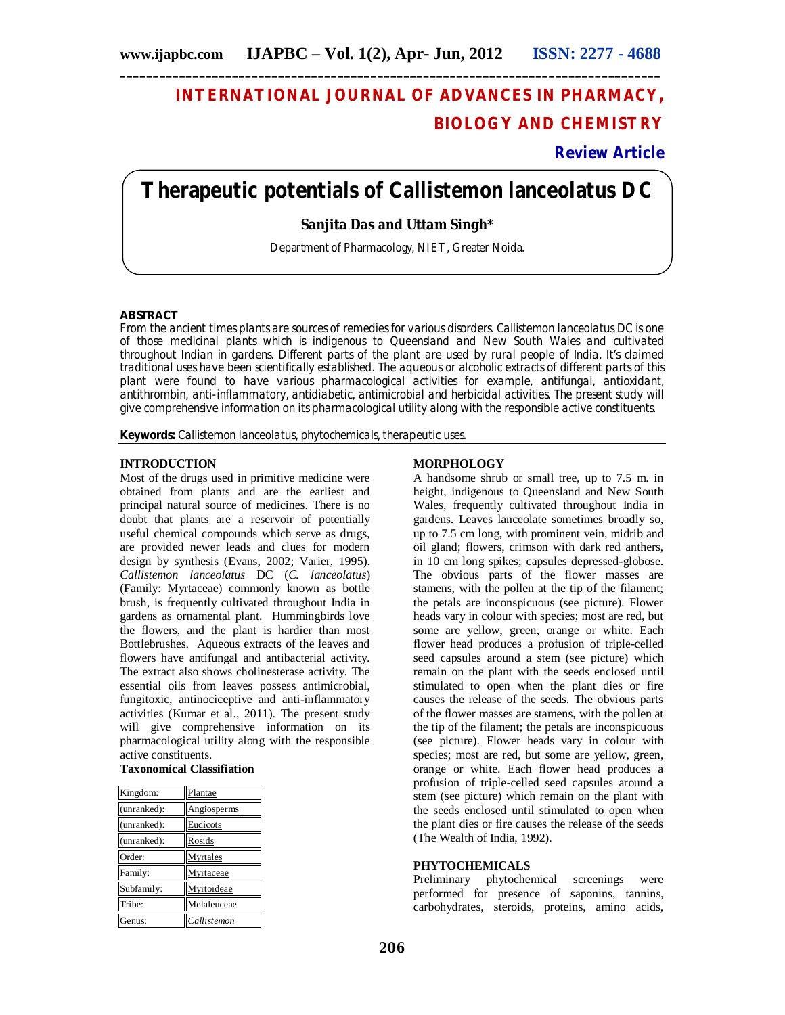# **INTERNATIONAL JOURNAL OF ADVANCES IN PHARMACY, BIOLOGY AND CHEMISTRY**

# **Review Article**

# **Therapeutic potentials of** *Callistemon lanceolatus* **DC**

# **Sanjita Das and Uttam Singh\***

Department of Pharmacology, NIET, Greater Noida.

#### **ABSTRACT**

From the ancient times plants are sources of remedies for various disorders. *Callistemon lanceolatus* DC is one of those medicinal plants which is indigenous to Queensland and New South Wales and cultivated throughout Indian in gardens. Different parts of the plant are used by rural people of India. It's claimed traditional uses have been scientifically established. The aqueous or alcoholic extracts of different parts of this plant were found to have various pharmacological activities for example, antifungal, antioxidant, antithrombin, anti-inflammatory, antidiabetic, antimicrobial and herbicidal activities. The present study will give comprehensive information on its pharmacological utility along with the responsible active constituents.

**Keywords:** *Callistemon lanceolatus*, phytochemicals, therapeutic uses.

# **INTRODUCTION**

Most of the drugs used in primitive medicine were obtained from plants and are the earliest and principal natural source of medicines. There is no doubt that plants are a reservoir of potentially useful chemical compounds which serve as drugs, are provided newer leads and clues for modern design by synthesis (Evans, 2002; Varier, 1995). *Callistemon lanceolatus* DC (*C. lanceolatus*) (Family: Myrtaceae) commonly known as bottle brush, is frequently cultivated throughout India in gardens as ornamental plant. Hummingbirds love the flowers, and the plant is hardier than most Bottlebrushes. Aqueous extracts of the leaves and flowers have antifungal and antibacterial activity. The extract also shows cholinesterase activity. The essential oils from leaves possess antimicrobial, fungitoxic, antinociceptive and anti-inflammatory activities (Kumar et al., 2011). The present study will give comprehensive information on its pharmacological utility along with the responsible active constituents.

# **Taxonomical Classifiation**

| Kingdom:    | Plantae     |
|-------------|-------------|
| (unranked): | Angiosperms |
| (unranked): | Eudicots    |
| (unranked): | Rosids      |
| Order:      | Myrtales    |
| Family:     | Myrtaceae   |
| Subfamily:  | Myrtoideae  |
| Tribe:      | Melaleuceae |
| Genus:      | Callistemon |

# **MORPHOLOGY**

A handsome shrub or small tree, up to 7.5 m. in height, indigenous to Queensland and New South Wales, frequently cultivated throughout India in gardens. Leaves lanceolate sometimes broadly so, up to 7.5 cm long, with prominent vein, midrib and oil gland; flowers, crimson with dark red anthers, in 10 cm long spikes; capsules depressed-globose. The obvious parts of the flower masses are stamens, with the pollen at the tip of the filament; the petals are inconspicuous (see picture). Flower heads vary in colour with species; most are red, but some are yellow, green, orange or white. Each flower head produces a profusion of triple-celled seed capsules around a stem (see picture) which remain on the plant with the seeds enclosed until stimulated to open when the plant dies or fire causes the release of the seeds. The obvious parts of the flower masses are stamens, with the pollen at the tip of the filament; the petals are inconspicuous (see picture). Flower heads vary in colour with species; most are red, but some are yellow, green, orange or white. Each flower head produces a profusion of triple-celled seed capsules around a stem (see picture) which remain on the plant with the seeds enclosed until stimulated to open when the plant dies or fire causes the release of the seeds (The Wealth of India, 1992).

#### **PHYTOCHEMICALS**

Preliminary phytochemical screenings were performed for presence of saponins, tannins, carbohydrates, steroids, proteins, amino acids,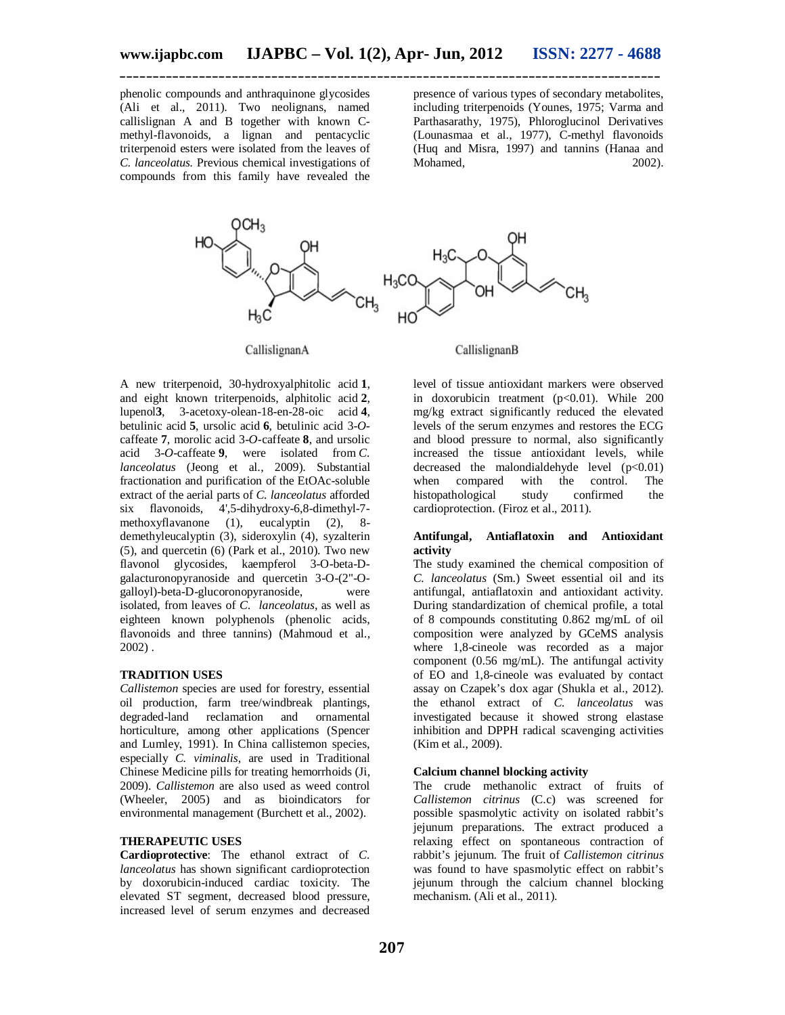phenolic compounds and anthraquinone glycosides (Ali et al., 2011). Two neolignans, named callislignan A and B together with known Cmethyl-flavonoids, a lignan and pentacyclic triterpenoid esters were isolated from the leaves of *C. lanceolatus.* Previous chemical investigations of compounds from this family have revealed the

presence of various types of secondary metabolites, including triterpenoids (Younes, 1975; Varma and Parthasarathy, 1975), Phloroglucinol Derivatives (Lounasmaa et al., 1977), C-methyl flavonoids (Huq and Misra, 1997) and tannins (Hanaa and Mohamed,



CallislignanA

CallislignanB

A new triterpenoid, 30-hydroxyalphitolic acid **1**, and eight known triterpenoids, alphitolic acid **2**, lupenol**3**, 3-acetoxy-olean-18-en-28-oic acid **4**, betulinic acid **5**, ursolic acid **6**, betulinic acid 3-*O*caffeate **7**, morolic acid 3-*O*-caffeate **8**, and ursolic acid 3-*O*-caffeate **9**, were isolated from *C. lanceolatus* (Jeong et al., 2009). Substantial fractionation and purification of the EtOAc-soluble extract of the aerial parts of *C. lanceolatus* afforded<br>six flavonoids. 4'.5-dihydroxy-6.8-dimethyl-7flavonoids,  $4', 5$ -dihydroxy-6,8-dimethyl-7methoxyflavanone (1), eucalyptin (2), 8 demethyleucalyptin (3), sideroxylin (4), syzalterin (5), and quercetin (6) (Park et al., 2010). Two new flavonol glycosides, kaempferol 3-O-beta-Dgalacturonopyranoside and quercetin 3-O-(2"-Ogalloyl)-beta-D-glucoronopyranoside, were isolated, from leaves of *C. lanceolatus*, as well as eighteen known polyphenols (phenolic acids, flavonoids and three tannins) (Mahmoud et al., 2002) .

# **TRADITION USES**

*Callistemon* species are used for forestry, essential oil production, farm tree/windbreak plantings, degraded-land reclamation and ornamental horticulture, among other applications (Spencer and Lumley, 1991). In China callistemon species, especially *C. viminalis*, are used in Traditional Chinese Medicine pills for treating hemorrhoids (Ji, 2009). *Callistemon* are also used as weed control (Wheeler, 2005) and as bioindicators for environmental management (Burchett et al., 2002).

# **THERAPEUTIC USES**

**Cardioprotective**: The ethanol extract of *C. lanceolatus* has shown significant cardioprotection by doxorubicin-induced cardiac toxicity. The elevated ST segment, decreased blood pressure, increased level of serum enzymes and decreased

level of tissue antioxidant markers were observed in doxorubicin treatment (p<0.01). While 200 mg/kg extract significantly reduced the elevated levels of the serum enzymes and restores the ECG and blood pressure to normal, also significantly increased the tissue antioxidant levels, while decreased the malondialdehyde level  $(p<0.01)$  when compared with the control. The with the control. The<br>study confirmed the histopathological study confirmed the cardioprotection. (Firoz et al., 2011).

### **Antifungal, Antiaflatoxin and Antioxidant activity**

The study examined the chemical composition of *C. lanceolatus* (Sm.) Sweet essential oil and its antifungal, antiaflatoxin and antioxidant activity. During standardization of chemical profile, a total of 8 compounds constituting 0.862 mg/mL of oil composition were analyzed by GCeMS analysis where 1,8-cineole was recorded as a major component (0.56 mg/mL). The antifungal activity of EO and 1,8-cineole was evaluated by contact assay on Czapek's dox agar (Shukla et al., 2012). the ethanol extract of *C. lanceolatus* was investigated because it showed strong elastase inhibition and DPPH radical scavenging activities (Kim et al., 2009).

#### **Calcium channel blocking activity**

The crude methanolic extract of fruits of *Callistemon citrinus* (C.c) was screened for possible spasmolytic activity on isolated rabbit's jejunum preparations. The extract produced a relaxing effect on spontaneous contraction of rabbit's jejunum. The fruit of *Callistemon citrinus*  was found to have spasmolytic effect on rabbit's jejunum through the calcium channel blocking mechanism. (Ali et al., 2011).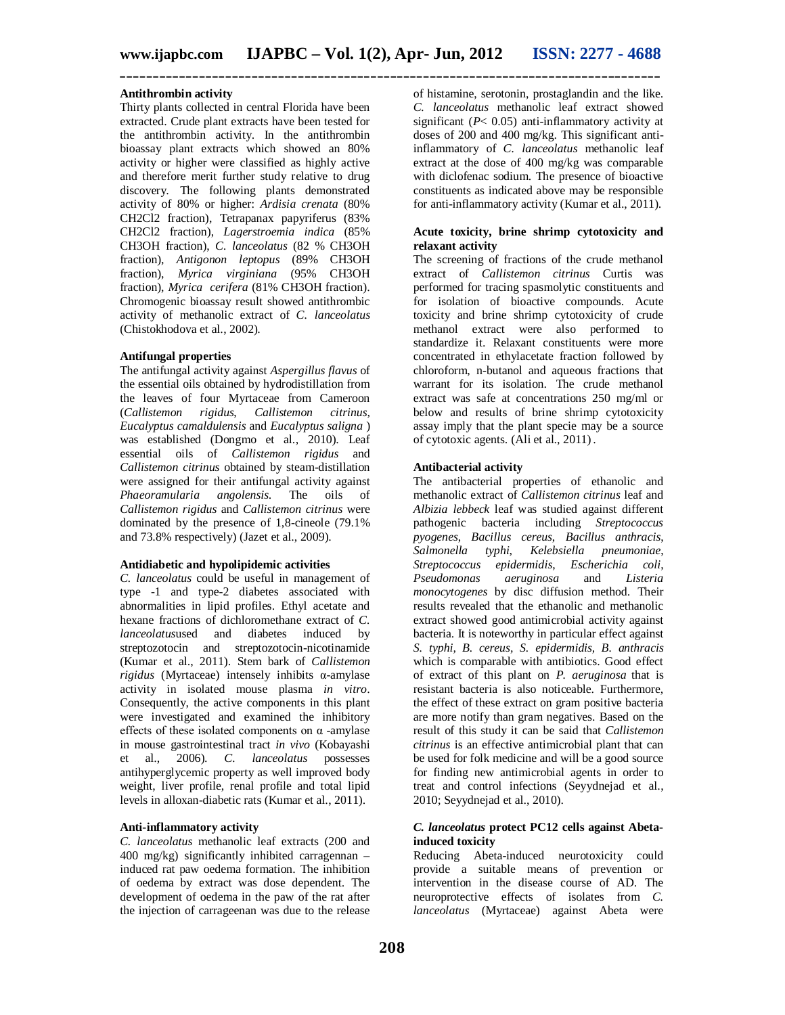# **Antithrombin activity**

Thirty plants collected in central Florida have been extracted. Crude plant extracts have been tested for the antithrombin activity. In the antithrombin bioassay plant extracts which showed an 80% activity or higher were classified as highly active and therefore merit further study relative to drug discovery. The following plants demonstrated activity of 80% or higher: *Ardisia crenata* (80% CH2Cl2 fraction), Tetrapanax papyriferus (83% CH2Cl2 fraction), *Lagerstroemia indica* (85% CH3OH fraction), *C. lanceolatus* (82 % CH3OH fraction), *Antigonon leptopus* (89% CH3OH fraction), *Myrica virginiana* (95% CH3OH fraction), *Myrica cerifera* (81% CH3OH fraction). Chromogenic bioassay result showed antithrombic activity of methanolic extract of *C. lanceolatus* (Chistokhodova et al., 2002).

#### **Antifungal properties**

The antifungal activity against *Aspergillus flavus* of the essential oils obtained by hydrodistillation from the leaves of four Myrtaceae from Cameroon (*Callistemon rigidus*, *Callistemon citrinus, Eucalyptus camaldulensis* and *Eucalyptus saligna* ) was established (Dongmo et al., 2010). Leaf essential oils of *Callistemon rigidus* and *Callistemon citrinus* obtained by steam-distillation were assigned for their antifungal activity against<br>*Phaeoramularia angolensis*. The oils of *Phaeoramularia angolensis*. The oils of *Callistemon rigidus* and *Callistemon citrinus* were dominated by the presence of 1,8-cineole (79.1% and 73.8% respectively) (Jazet et al., 2009).

#### **Antidiabetic and hypolipidemic activities**

*C. lanceolatus* could be useful in management of type -1 and type-2 diabetes associated with abnormalities in lipid profiles. Ethyl acetate and hexane fractions of dichloromethane extract of *C. lanceolatus*used and diabetes induced by streptozotocin and streptozotocin-nicotinamide (Kumar et al., 2011). Stem bark of *Callistemon rigidus* (Myrtaceae) intensely inhibits α-amylase activity in isolated mouse plasma *in vitro*. Consequently, the active components in this plant were investigated and examined the inhibitory effects of these isolated components on  $\alpha$  -amylase in mouse gastrointestinal tract *in vivo* (Kobayashi et al., 2006). *C. lanceolatus* possesses antihyperglycemic property as well improved body weight, liver profile, renal profile and total lipid levels in alloxan-diabetic rats (Kumar et al., 2011).

#### **Anti-inflammatory activity**

*C. lanceolatus* methanolic leaf extracts (200 and 400 mg/kg) significantly inhibited carragennan – induced rat paw oedema formation. The inhibition of oedema by extract was dose dependent. The development of oedema in the paw of the rat after the injection of carrageenan was due to the release

of histamine, serotonin, prostaglandin and the like. *C. lanceolatus* methanolic leaf extract showed significant (*P*< 0.05) anti-inflammatory activity at doses of 200 and 400 mg/kg. This significant antiinflammatory of *C. lanceolatus* methanolic leaf extract at the dose of 400 mg/kg was comparable with diclofenac sodium. The presence of bioactive constituents as indicated above may be responsible for anti-inflammatory activity (Kumar et al., 2011).

#### **Acute toxicity, brine shrimp cytotoxicity and relaxant activity**

The screening of fractions of the crude methanol extract of *Callistemon citrinus* Curtis was performed for tracing spasmolytic constituents and for isolation of bioactive compounds. Acute toxicity and brine shrimp cytotoxicity of crude methanol extract were also performed to standardize it. Relaxant constituents were more concentrated in ethylacetate fraction followed by chloroform, n-butanol and aqueous fractions that warrant for its isolation. The crude methanol extract was safe at concentrations 250 mg/ml or below and results of brine shrimp cytotoxicity assay imply that the plant specie may be a source of cytotoxic agents. (Ali et al., 2011).

#### **Antibacterial activity**

The antibacterial properties of ethanolic and methanolic extract of *Callistemon citrinus* leaf and *Albizia lebbeck* leaf was studied against different pathogenic bacteria including *Streptococcus pyogenes*, *Bacillus cereus*, *Bacillus anthracis*, *Salmonella typhi*, *Kelebsiella pneumoniae*, *Streptococcus epidermidis*, *Escherichia coli*, *Pseudomonas aeruginosa* and *Listeria monocytogenes* by disc diffusion method. Their results revealed that the ethanolic and methanolic extract showed good antimicrobial activity against bacteria. It is noteworthy in particular effect against *S. typhi, B. cereus, S. epidermidis, B. anthracis* which is comparable with antibiotics. Good effect of extract of this plant on *P. aeruginosa* that is resistant bacteria is also noticeable. Furthermore, the effect of these extract on gram positive bacteria are more notify than gram negatives. Based on the result of this study it can be said that *Callistemon citrinus* is an effective antimicrobial plant that can be used for folk medicine and will be a good source for finding new antimicrobial agents in order to treat and control infections (Seyydnejad et al., 2010; Seyydnejad et al., 2010).

#### *C. lanceolatus* **protect PC12 cells against Abetainduced toxicity**

Reducing Abeta-induced neurotoxicity could provide a suitable means of prevention or intervention in the disease course of AD. The neuroprotective effects of isolates from *C. lanceolatus* (Myrtaceae) against Abeta were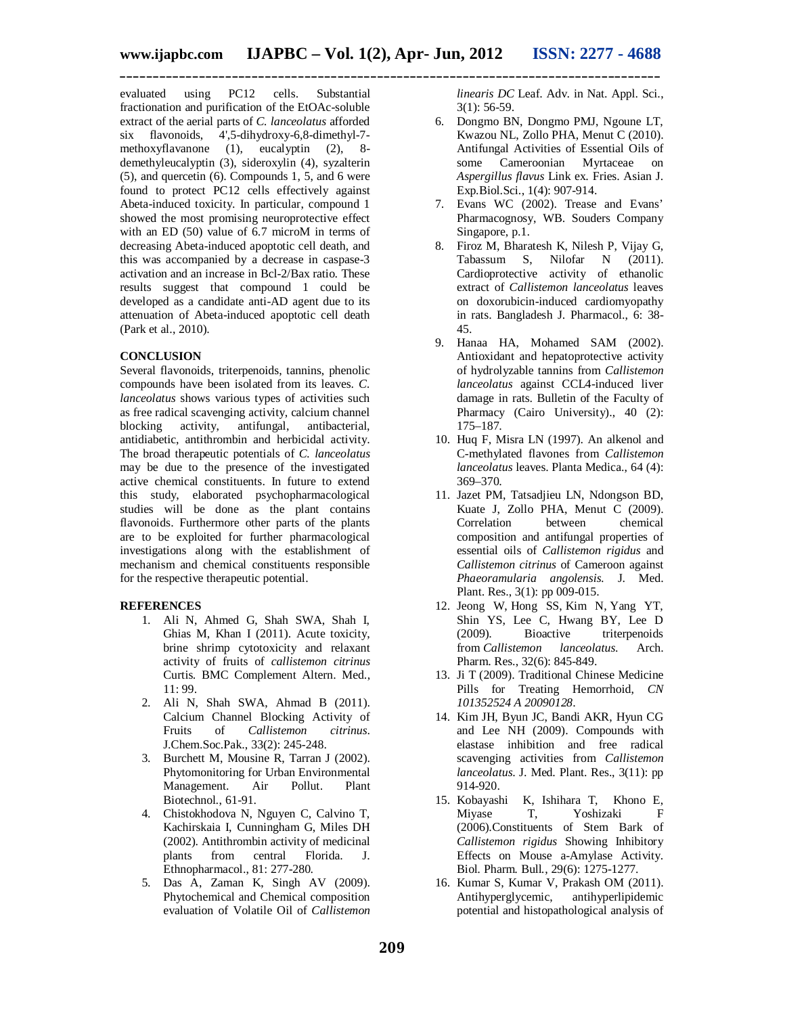evaluated using PC12 cells. Substantial fractionation and purification of the EtOAc-soluble extract of the aerial parts of *C. lanceolatus* afforded six flavonoids, 4',5-dihydroxy-6,8-dimethyl-7 methoxyflavanone (1), eucalyptin (2), 8 demethyleucalyptin (3), sideroxylin (4), syzalterin (5), and quercetin (6). Compounds 1, 5, and 6 were found to protect PC12 cells effectively against Abeta-induced toxicity. In particular, compound 1 showed the most promising neuroprotective effect with an ED (50) value of 6.7 microM in terms of decreasing Abeta-induced apoptotic cell death, and this was accompanied by a decrease in caspase-3 activation and an increase in Bcl-2/Bax ratio. These results suggest that compound 1 could be developed as a candidate anti-AD agent due to its attenuation of Abeta-induced apoptotic cell death (Park et al., 2010).

# **CONCLUSION**

Several flavonoids, triterpenoids, tannins, phenolic compounds have been isolated from its leaves. *C. lanceolatus* shows various types of activities such as free radical scavenging activity, calcium channel blocking activity, antifungal, antibacterial, antidiabetic, antithrombin and herbicidal activity. The broad therapeutic potentials of *C. lanceolatus* may be due to the presence of the investigated active chemical constituents. In future to extend this study, elaborated psychopharmacological studies will be done as the plant contains flavonoids. Furthermore other parts of the plants are to be exploited for further pharmacological investigations along with the establishment of mechanism and chemical constituents responsible for the respective therapeutic potential.

#### **REFERENCES**

- 1. Ali N, Ahmed G, Shah SWA, Shah I, Ghias M, Khan I (2011). Acute toxicity, brine shrimp cytotoxicity and relaxant activity of fruits of *callistemon citrinus* Curtis. BMC Complement Altern. Med., 11: 99.
- 2. Ali N, Shah SWA, Ahmad B (2011). Calcium Channel Blocking Activity of Fruits of *Callistemon citrinus*. J.Chem.Soc.Pak., 33(2): 245-248.
- 3. Burchett M, Mousine R, Tarran J (2002). Phytomonitoring for Urban Environmental Management. Air Pollut. Plant Biotechnol*.*, 61-91.
- 4. Chistokhodova N, Nguyen C, Calvino T, Kachirskaia I, Cunningham G, Miles DH (2002). Antithrombin activity of medicinal plants from central Florida. J. Ethnopharmacol., 81: 277-280.
- 5. Das A, Zaman K, Singh AV (2009). Phytochemical and Chemical composition evaluation of Volatile Oil of *Callistemon*

*linearis DC* Leaf. Adv. in Nat. Appl. Sci., 3(1): 56-59.

- 6. Dongmo BN, Dongmo PMJ, Ngoune LT, Kwazou NL, Zollo PHA, Menut C (2010). Antifungal Activities of Essential Oils of<br>some Cameroonian Myrtaceae on Cameroonian Myrtaceae on *Aspergillus flavus* Link ex. Fries. Asian J. Exp.Biol.Sci., 1(4): 907-914.
- 7. Evans WC (2002). Trease and Evans' Pharmacognosy, WB. Souders Company Singapore, p.1.
- 8. Firoz M, Bharatesh K, Nilesh P, Vijay G, Tabassum S, Nilofar N (2011). Cardioprotective activity of ethanolic extract of *Callistemon lanceolatus* leaves on doxorubicin-induced cardiomyopathy in rats. Bangladesh J. Pharmacol., 6: 38- 45.
- 9. Hanaa HA, Mohamed SAM (2002). Antioxidant and hepatoprotective activity of hydrolyzable tannins from *Callistemon lanceolatus* against CCL4-induced liver damage in rats. Bulletin of the Faculty of Pharmacy (Cairo University)., 40 (2): 175–187.
- 10. Huq F, Misra LN (1997). An alkenol and C-methylated flavones from *Callistemon lanceolatus* leaves. Planta Medica., 64 (4): 369–370.
- 11. Jazet PM, Tatsadjieu LN, Ndongson BD, Kuate J, Zollo PHA, Menut C (2009).<br>Correlation between chemical Correlation composition and antifungal properties of essential oils of *Callistemon rigidus* and *Callistemon citrinus* of Cameroon against *Phaeoramularia angolensis.* J. Med. Plant. Res., 3(1): pp 009-015.
- 12. Jeong W, Hong SS, Kim N, Yang YT, Shin YS, Lee C, Hwang BY, Lee D (2009). Bioactive triterpenoids triterpenoids from *Callistemon lanceolatus*. Arch. Pharm. Res., 32(6): 845-849.
- 13. Ji T (2009). Traditional Chinese Medicine Pills for Treating Hemorrhoid, *CN 101352524 A 20090128*.
- 14. Kim JH, Byun JC, Bandi AKR, Hyun CG and Lee NH (2009). Compounds with elastase inhibition and free radical scavenging activities from *Callistemon lanceolatus*. J. Med. Plant. Res., 3(11): pp 914-920.
- 15. Kobayashi K, Ishihara T, Khono E, Miyase T, Yoshizaki F (2006).Constituents of Stem Bark of *Callistemon rigidus* Showing Inhibitory Effects on Mouse a-Amylase Activity. Biol*.* Pharm*.* Bull*.*, 29(6): 1275-1277.
- 16. Kumar S, Kumar V, Prakash OM (2011). Antihyperglycemic, antihyperlipidemic potential and histopathological analysis of